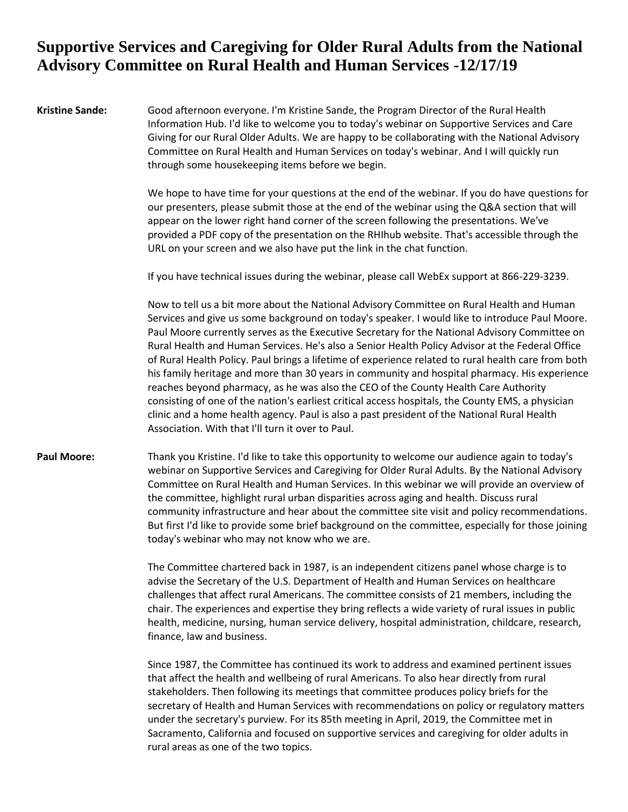#### **Kristine Sande:** Good afternoon everyone. I'm Kristine Sande, the Program Director of the Rural Health Information Hub. I'd like to welcome you to today's webinar on Supportive Services and Care Giving for our Rural Older Adults. We are happy to be collaborating with the National Advisory Committee on Rural Health and Human Services on today's webinar. And I will quickly run through some housekeeping items before we begin.

We hope to have time for your questions at the end of the webinar. If you do have questions for our presenters, please submit those at the end of the webinar using the Q&A section that will appear on the lower right hand corner of the screen following the presentations. We've provided a PDF copy of the presentation on the RHIhub website. That's accessible through the URL on your screen and we also have put the link in the chat function.

If you have technical issues during the webinar, please call WebEx support at 866-229-3239.

Now to tell us a bit more about the National Advisory Committee on Rural Health and Human Services and give us some background on today's speaker. I would like to introduce Paul Moore. Paul Moore currently serves as the Executive Secretary for the National Advisory Committee on Rural Health and Human Services. He's also a Senior Health Policy Advisor at the Federal Office of Rural Health Policy. Paul brings a lifetime of experience related to rural health care from both his family heritage and more than 30 years in community and hospital pharmacy. His experience reaches beyond pharmacy, as he was also the CEO of the County Health Care Authority consisting of one of the nation's earliest critical access hospitals, the County EMS, a physician clinic and a home health agency. Paul is also a past president of the National Rural Health Association. With that I'll turn it over to Paul.

#### **Paul Moore:** Thank you Kristine. I'd like to take this opportunity to welcome our audience again to today's webinar on Supportive Services and Caregiving for Older Rural Adults. By the National Advisory Committee on Rural Health and Human Services. In this webinar we will provide an overview of the committee, highlight rural urban disparities across aging and health. Discuss rural community infrastructure and hear about the committee site visit and policy recommendations. But first I'd like to provide some brief background on the committee, especially for those joining today's webinar who may not know who we are.

The Committee chartered back in 1987, is an independent citizens panel whose charge is to advise the Secretary of the U.S. Department of Health and Human Services on healthcare challenges that affect rural Americans. The committee consists of 21 members, including the chair. The experiences and expertise they bring reflects a wide variety of rural issues in public health, medicine, nursing, human service delivery, hospital administration, childcare, research, finance, law and business.

Since 1987, the Committee has continued its work to address and examined pertinent issues that affect the health and wellbeing of rural Americans. To also hear directly from rural stakeholders. Then following its meetings that committee produces policy briefs for the secretary of Health and Human Services with recommendations on policy or regulatory matters under the secretary's purview. For its 85th meeting in April, 2019, the Committee met in Sacramento, California and focused on supportive services and caregiving for older adults in rural areas as one of the two topics.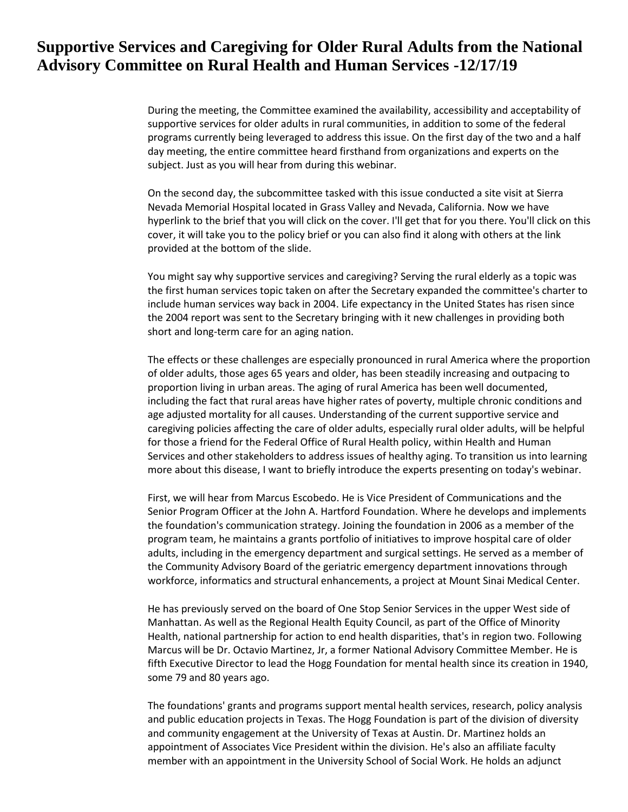During the meeting, the Committee examined the availability, accessibility and acceptability of supportive services for older adults in rural communities, in addition to some of the federal programs currently being leveraged to address this issue. On the first day of the two and a half day meeting, the entire committee heard firsthand from organizations and experts on the subject. Just as you will hear from during this webinar.

On the second day, the subcommittee tasked with this issue conducted a site visit at Sierra Nevada Memorial Hospital located in Grass Valley and Nevada, California. Now we have hyperlink to the brief that you will click on the cover. I'll get that for you there. You'll click on this cover, it will take you to the policy brief or you can also find it along with others at the link provided at the bottom of the slide.

You might say why supportive services and caregiving? Serving the rural elderly as a topic was the first human services topic taken on after the Secretary expanded the committee's charter to include human services way back in 2004. Life expectancy in the United States has risen since the 2004 report was sent to the Secretary bringing with it new challenges in providing both short and long-term care for an aging nation.

The effects or these challenges are especially pronounced in rural America where the proportion of older adults, those ages 65 years and older, has been steadily increasing and outpacing to proportion living in urban areas. The aging of rural America has been well documented, including the fact that rural areas have higher rates of poverty, multiple chronic conditions and age adjusted mortality for all causes. Understanding of the current supportive service and caregiving policies affecting the care of older adults, especially rural older adults, will be helpful for those a friend for the Federal Office of Rural Health policy, within Health and Human Services and other stakeholders to address issues of healthy aging. To transition us into learning more about this disease, I want to briefly introduce the experts presenting on today's webinar.

First, we will hear from Marcus Escobedo. He is Vice President of Communications and the Senior Program Officer at the John A. Hartford Foundation. Where he develops and implements the foundation's communication strategy. Joining the foundation in 2006 as a member of the program team, he maintains a grants portfolio of initiatives to improve hospital care of older adults, including in the emergency department and surgical settings. He served as a member of the Community Advisory Board of the geriatric emergency department innovations through workforce, informatics and structural enhancements, a project at Mount Sinai Medical Center.

He has previously served on the board of One Stop Senior Services in the upper West side of Manhattan. As well as the Regional Health Equity Council, as part of the Office of Minority Health, national partnership for action to end health disparities, that's in region two. Following Marcus will be Dr. Octavio Martinez, Jr, a former National Advisory Committee Member. He is fifth Executive Director to lead the Hogg Foundation for mental health since its creation in 1940, some 79 and 80 years ago.

The foundations' grants and programs support mental health services, research, policy analysis and public education projects in Texas. The Hogg Foundation is part of the division of diversity and community engagement at the University of Texas at Austin. Dr. Martinez holds an appointment of Associates Vice President within the division. He's also an affiliate faculty member with an appointment in the University School of Social Work. He holds an adjunct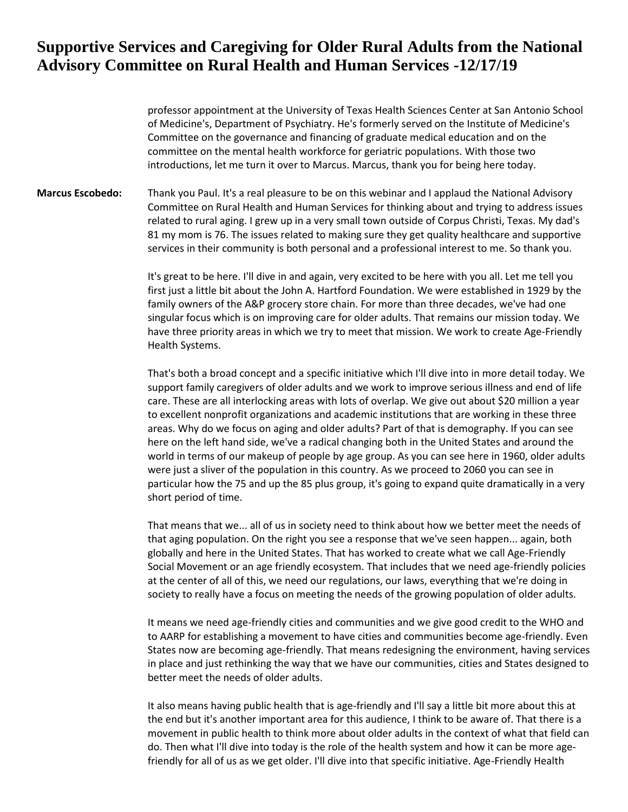professor appointment at the University of Texas Health Sciences Center at San Antonio School of Medicine's, Department of Psychiatry. He's formerly served on the Institute of Medicine's Committee on the governance and financing of graduate medical education and on the committee on the mental health workforce for geriatric populations. With those two introductions, let me turn it over to Marcus. Marcus, thank you for being here today.

**Marcus Escobedo:** Thank you Paul. It's a real pleasure to be on this webinar and I applaud the National Advisory Committee on Rural Health and Human Services for thinking about and trying to address issues related to rural aging. I grew up in a very small town outside of Corpus Christi, Texas. My dad's 81 my mom is 76. The issues related to making sure they get quality healthcare and supportive services in their community is both personal and a professional interest to me. So thank you.

> It's great to be here. I'll dive in and again, very excited to be here with you all. Let me tell you first just a little bit about the John A. Hartford Foundation. We were established in 1929 by the family owners of the A&P grocery store chain. For more than three decades, we've had one singular focus which is on improving care for older adults. That remains our mission today. We have three priority areas in which we try to meet that mission. We work to create Age-Friendly Health Systems.

> That's both a broad concept and a specific initiative which I'll dive into in more detail today. We support family caregivers of older adults and we work to improve serious illness and end of life care. These are all interlocking areas with lots of overlap. We give out about \$20 million a year to excellent nonprofit organizations and academic institutions that are working in these three areas. Why do we focus on aging and older adults? Part of that is demography. If you can see here on the left hand side, we've a radical changing both in the United States and around the world in terms of our makeup of people by age group. As you can see here in 1960, older adults were just a sliver of the population in this country. As we proceed to 2060 you can see in particular how the 75 and up the 85 plus group, it's going to expand quite dramatically in a very short period of time.

> That means that we... all of us in society need to think about how we better meet the needs of that aging population. On the right you see a response that we've seen happen... again, both globally and here in the United States. That has worked to create what we call Age-Friendly Social Movement or an age friendly ecosystem. That includes that we need age-friendly policies at the center of all of this, we need our regulations, our laws, everything that we're doing in society to really have a focus on meeting the needs of the growing population of older adults.

It means we need age-friendly cities and communities and we give good credit to the WHO and to AARP for establishing a movement to have cities and communities become age-friendly. Even States now are becoming age-friendly. That means redesigning the environment, having services in place and just rethinking the way that we have our communities, cities and States designed to better meet the needs of older adults.

It also means having public health that is age-friendly and I'll say a little bit more about this at the end but it's another important area for this audience, I think to be aware of. That there is a movement in public health to think more about older adults in the context of what that field can do. Then what I'll dive into today is the role of the health system and how it can be more agefriendly for all of us as we get older. I'll dive into that specific initiative. Age-Friendly Health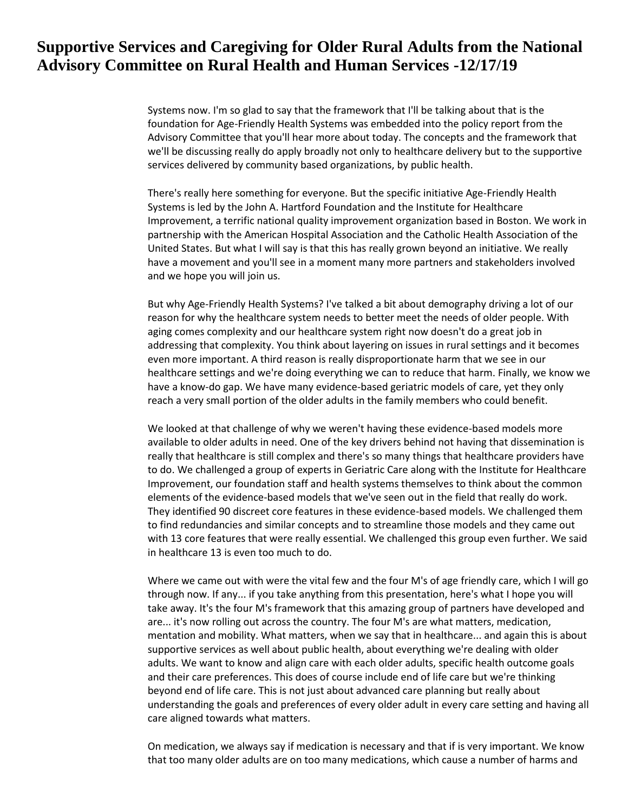Systems now. I'm so glad to say that the framework that I'll be talking about that is the foundation for Age-Friendly Health Systems was embedded into the policy report from the Advisory Committee that you'll hear more about today. The concepts and the framework that we'll be discussing really do apply broadly not only to healthcare delivery but to the supportive services delivered by community based organizations, by public health.

There's really here something for everyone. But the specific initiative Age-Friendly Health Systems is led by the John A. Hartford Foundation and the Institute for Healthcare Improvement, a terrific national quality improvement organization based in Boston. We work in partnership with the American Hospital Association and the Catholic Health Association of the United States. But what I will say is that this has really grown beyond an initiative. We really have a movement and you'll see in a moment many more partners and stakeholders involved and we hope you will join us.

But why Age-Friendly Health Systems? I've talked a bit about demography driving a lot of our reason for why the healthcare system needs to better meet the needs of older people. With aging comes complexity and our healthcare system right now doesn't do a great job in addressing that complexity. You think about layering on issues in rural settings and it becomes even more important. A third reason is really disproportionate harm that we see in our healthcare settings and we're doing everything we can to reduce that harm. Finally, we know we have a know-do gap. We have many evidence-based geriatric models of care, yet they only reach a very small portion of the older adults in the family members who could benefit.

We looked at that challenge of why we weren't having these evidence-based models more available to older adults in need. One of the key drivers behind not having that dissemination is really that healthcare is still complex and there's so many things that healthcare providers have to do. We challenged a group of experts in Geriatric Care along with the Institute for Healthcare Improvement, our foundation staff and health systems themselves to think about the common elements of the evidence-based models that we've seen out in the field that really do work. They identified 90 discreet core features in these evidence-based models. We challenged them to find redundancies and similar concepts and to streamline those models and they came out with 13 core features that were really essential. We challenged this group even further. We said in healthcare 13 is even too much to do.

Where we came out with were the vital few and the four M's of age friendly care, which I will go through now. If any... if you take anything from this presentation, here's what I hope you will take away. It's the four M's framework that this amazing group of partners have developed and are... it's now rolling out across the country. The four M's are what matters, medication, mentation and mobility. What matters, when we say that in healthcare... and again this is about supportive services as well about public health, about everything we're dealing with older adults. We want to know and align care with each older adults, specific health outcome goals and their care preferences. This does of course include end of life care but we're thinking beyond end of life care. This is not just about advanced care planning but really about understanding the goals and preferences of every older adult in every care setting and having all care aligned towards what matters.

On medication, we always say if medication is necessary and that if is very important. We know that too many older adults are on too many medications, which cause a number of harms and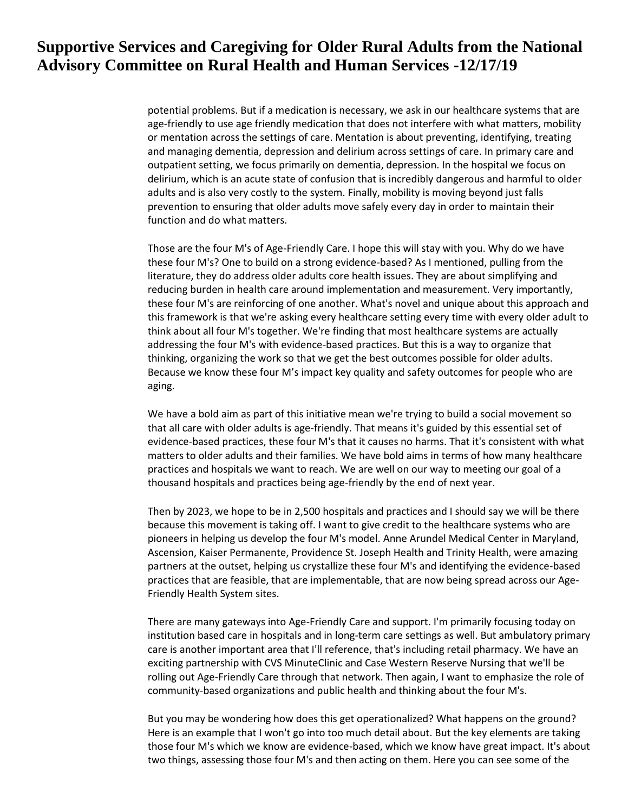potential problems. But if a medication is necessary, we ask in our healthcare systems that are age-friendly to use age friendly medication that does not interfere with what matters, mobility or mentation across the settings of care. Mentation is about preventing, identifying, treating and managing dementia, depression and delirium across settings of care. In primary care and outpatient setting, we focus primarily on dementia, depression. In the hospital we focus on delirium, which is an acute state of confusion that is incredibly dangerous and harmful to older adults and is also very costly to the system. Finally, mobility is moving beyond just falls prevention to ensuring that older adults move safely every day in order to maintain their function and do what matters.

Those are the four M's of Age-Friendly Care. I hope this will stay with you. Why do we have these four M's? One to build on a strong evidence-based? As I mentioned, pulling from the literature, they do address older adults core health issues. They are about simplifying and reducing burden in health care around implementation and measurement. Very importantly, these four M's are reinforcing of one another. What's novel and unique about this approach and this framework is that we're asking every healthcare setting every time with every older adult to think about all four M's together. We're finding that most healthcare systems are actually addressing the four M's with evidence-based practices. But this is a way to organize that thinking, organizing the work so that we get the best outcomes possible for older adults. Because we know these four M's impact key quality and safety outcomes for people who are aging.

We have a bold aim as part of this initiative mean we're trying to build a social movement so that all care with older adults is age-friendly. That means it's guided by this essential set of evidence-based practices, these four M's that it causes no harms. That it's consistent with what matters to older adults and their families. We have bold aims in terms of how many healthcare practices and hospitals we want to reach. We are well on our way to meeting our goal of a thousand hospitals and practices being age-friendly by the end of next year.

Then by 2023, we hope to be in 2,500 hospitals and practices and I should say we will be there because this movement is taking off. I want to give credit to the healthcare systems who are pioneers in helping us develop the four M's model. Anne Arundel Medical Center in Maryland, Ascension, Kaiser Permanente, Providence St. Joseph Health and Trinity Health, were amazing partners at the outset, helping us crystallize these four M's and identifying the evidence-based practices that are feasible, that are implementable, that are now being spread across our Age-Friendly Health System sites.

There are many gateways into Age-Friendly Care and support. I'm primarily focusing today on institution based care in hospitals and in long-term care settings as well. But ambulatory primary care is another important area that I'll reference, that's including retail pharmacy. We have an exciting partnership with CVS MinuteClinic and Case Western Reserve Nursing that we'll be rolling out Age-Friendly Care through that network. Then again, I want to emphasize the role of community-based organizations and public health and thinking about the four M's.

But you may be wondering how does this get operationalized? What happens on the ground? Here is an example that I won't go into too much detail about. But the key elements are taking those four M's which we know are evidence-based, which we know have great impact. It's about two things, assessing those four M's and then acting on them. Here you can see some of the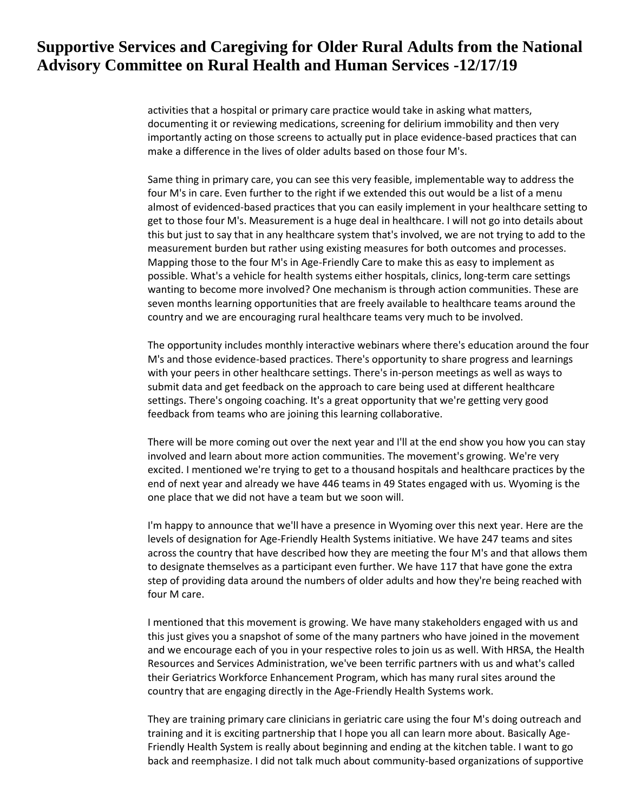activities that a hospital or primary care practice would take in asking what matters, documenting it or reviewing medications, screening for delirium immobility and then very importantly acting on those screens to actually put in place evidence-based practices that can make a difference in the lives of older adults based on those four M's.

Same thing in primary care, you can see this very feasible, implementable way to address the four M's in care. Even further to the right if we extended this out would be a list of a menu almost of evidenced-based practices that you can easily implement in your healthcare setting to get to those four M's. Measurement is a huge deal in healthcare. I will not go into details about this but just to say that in any healthcare system that's involved, we are not trying to add to the measurement burden but rather using existing measures for both outcomes and processes. Mapping those to the four M's in Age-Friendly Care to make this as easy to implement as possible. What's a vehicle for health systems either hospitals, clinics, long-term care settings wanting to become more involved? One mechanism is through action communities. These are seven months learning opportunities that are freely available to healthcare teams around the country and we are encouraging rural healthcare teams very much to be involved.

The opportunity includes monthly interactive webinars where there's education around the four M's and those evidence-based practices. There's opportunity to share progress and learnings with your peers in other healthcare settings. There's in-person meetings as well as ways to submit data and get feedback on the approach to care being used at different healthcare settings. There's ongoing coaching. It's a great opportunity that we're getting very good feedback from teams who are joining this learning collaborative.

There will be more coming out over the next year and I'll at the end show you how you can stay involved and learn about more action communities. The movement's growing. We're very excited. I mentioned we're trying to get to a thousand hospitals and healthcare practices by the end of next year and already we have 446 teams in 49 States engaged with us. Wyoming is the one place that we did not have a team but we soon will.

I'm happy to announce that we'll have a presence in Wyoming over this next year. Here are the levels of designation for Age-Friendly Health Systems initiative. We have 247 teams and sites across the country that have described how they are meeting the four M's and that allows them to designate themselves as a participant even further. We have 117 that have gone the extra step of providing data around the numbers of older adults and how they're being reached with four M care.

I mentioned that this movement is growing. We have many stakeholders engaged with us and this just gives you a snapshot of some of the many partners who have joined in the movement and we encourage each of you in your respective roles to join us as well. With HRSA, the Health Resources and Services Administration, we've been terrific partners with us and what's called their Geriatrics Workforce Enhancement Program, which has many rural sites around the country that are engaging directly in the Age-Friendly Health Systems work.

They are training primary care clinicians in geriatric care using the four M's doing outreach and training and it is exciting partnership that I hope you all can learn more about. Basically Age-Friendly Health System is really about beginning and ending at the kitchen table. I want to go back and reemphasize. I did not talk much about community-based organizations of supportive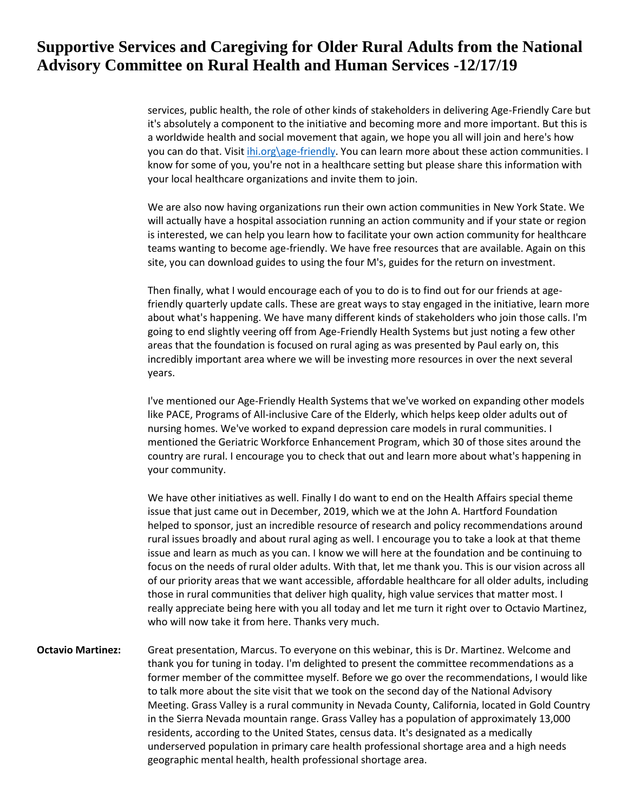services, public health, the role of other kinds of stakeholders in delivering Age-Friendly Care but it's absolutely a component to the initiative and becoming more and more important. But this is a worldwide health and social movement that again, we hope you all will join and here's how you can do that. Visit *ihi.org\age-friendly*. You can learn more about these action communities. I know for some of you, you're not in a healthcare setting but please share this information with your local healthcare organizations and invite them to join.

We are also now having organizations run their own action communities in New York State. We will actually have a hospital association running an action community and if your state or region is interested, we can help you learn how to facilitate your own action community for healthcare teams wanting to become age-friendly. We have free resources that are available. Again on this site, you can download guides to using the four M's, guides for the return on investment.

Then finally, what I would encourage each of you to do is to find out for our friends at agefriendly quarterly update calls. These are great ways to stay engaged in the initiative, learn more about what's happening. We have many different kinds of stakeholders who join those calls. I'm going to end slightly veering off from Age-Friendly Health Systems but just noting a few other areas that the foundation is focused on rural aging as was presented by Paul early on, this incredibly important area where we will be investing more resources in over the next several years.

I've mentioned our Age-Friendly Health Systems that we've worked on expanding other models like PACE, Programs of All-inclusive Care of the Elderly, which helps keep older adults out of nursing homes. We've worked to expand depression care models in rural communities. I mentioned the Geriatric Workforce Enhancement Program, which 30 of those sites around the country are rural. I encourage you to check that out and learn more about what's happening in your community.

We have other initiatives as well. Finally I do want to end on the Health Affairs special theme issue that just came out in December, 2019, which we at the John A. Hartford Foundation helped to sponsor, just an incredible resource of research and policy recommendations around rural issues broadly and about rural aging as well. I encourage you to take a look at that theme issue and learn as much as you can. I know we will here at the foundation and be continuing to focus on the needs of rural older adults. With that, let me thank you. This is our vision across all of our priority areas that we want accessible, affordable healthcare for all older adults, including those in rural communities that deliver high quality, high value services that matter most. I really appreciate being here with you all today and let me turn it right over to Octavio Martinez, who will now take it from here. Thanks very much.

**Octavio Martinez:** Great presentation, Marcus. To everyone on this webinar, this is Dr. Martinez. Welcome and thank you for tuning in today. I'm delighted to present the committee recommendations as a former member of the committee myself. Before we go over the recommendations, I would like to talk more about the site visit that we took on the second day of the National Advisory Meeting. Grass Valley is a rural community in Nevada County, California, located in Gold Country in the Sierra Nevada mountain range. Grass Valley has a population of approximately 13,000 residents, according to the United States, census data. It's designated as a medically underserved population in primary care health professional shortage area and a high needs geographic mental health, health professional shortage area.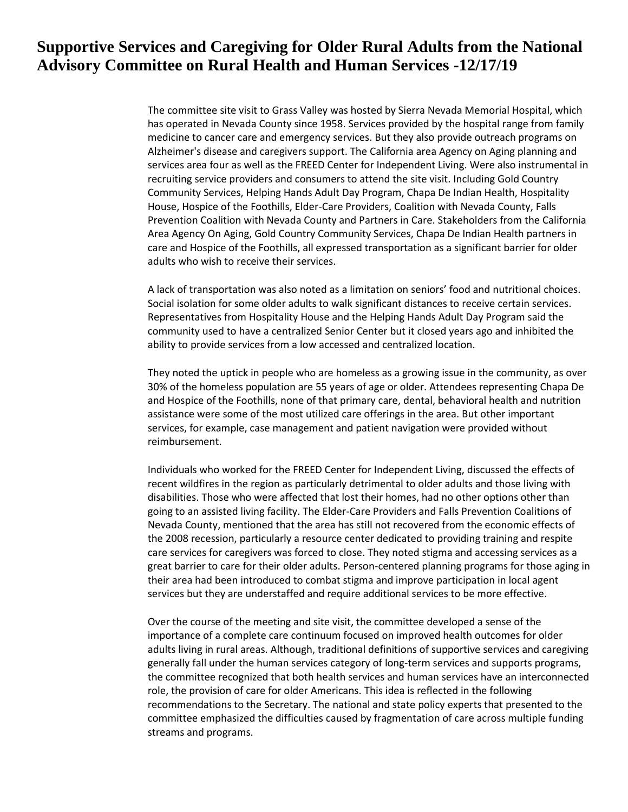The committee site visit to Grass Valley was hosted by Sierra Nevada Memorial Hospital, which has operated in Nevada County since 1958. Services provided by the hospital range from family medicine to cancer care and emergency services. But they also provide outreach programs on Alzheimer's disease and caregivers support. The California area Agency on Aging planning and services area four as well as the FREED Center for Independent Living. Were also instrumental in recruiting service providers and consumers to attend the site visit. Including Gold Country Community Services, Helping Hands Adult Day Program, Chapa De Indian Health, Hospitality House, Hospice of the Foothills, Elder-Care Providers, Coalition with Nevada County, Falls Prevention Coalition with Nevada County and Partners in Care. Stakeholders from the California Area Agency On Aging, Gold Country Community Services, Chapa De Indian Health partners in care and Hospice of the Foothills, all expressed transportation as a significant barrier for older adults who wish to receive their services.

A lack of transportation was also noted as a limitation on seniors' food and nutritional choices. Social isolation for some older adults to walk significant distances to receive certain services. Representatives from Hospitality House and the Helping Hands Adult Day Program said the community used to have a centralized Senior Center but it closed years ago and inhibited the ability to provide services from a low accessed and centralized location.

They noted the uptick in people who are homeless as a growing issue in the community, as over 30% of the homeless population are 55 years of age or older. Attendees representing Chapa De and Hospice of the Foothills, none of that primary care, dental, behavioral health and nutrition assistance were some of the most utilized care offerings in the area. But other important services, for example, case management and patient navigation were provided without reimbursement.

Individuals who worked for the FREED Center for Independent Living, discussed the effects of recent wildfires in the region as particularly detrimental to older adults and those living with disabilities. Those who were affected that lost their homes, had no other options other than going to an assisted living facility. The Elder-Care Providers and Falls Prevention Coalitions of Nevada County, mentioned that the area has still not recovered from the economic effects of the 2008 recession, particularly a resource center dedicated to providing training and respite care services for caregivers was forced to close. They noted stigma and accessing services as a great barrier to care for their older adults. Person-centered planning programs for those aging in their area had been introduced to combat stigma and improve participation in local agent services but they are understaffed and require additional services to be more effective.

Over the course of the meeting and site visit, the committee developed a sense of the importance of a complete care continuum focused on improved health outcomes for older adults living in rural areas. Although, traditional definitions of supportive services and caregiving generally fall under the human services category of long-term services and supports programs, the committee recognized that both health services and human services have an interconnected role, the provision of care for older Americans. This idea is reflected in the following recommendations to the Secretary. The national and state policy experts that presented to the committee emphasized the difficulties caused by fragmentation of care across multiple funding streams and programs.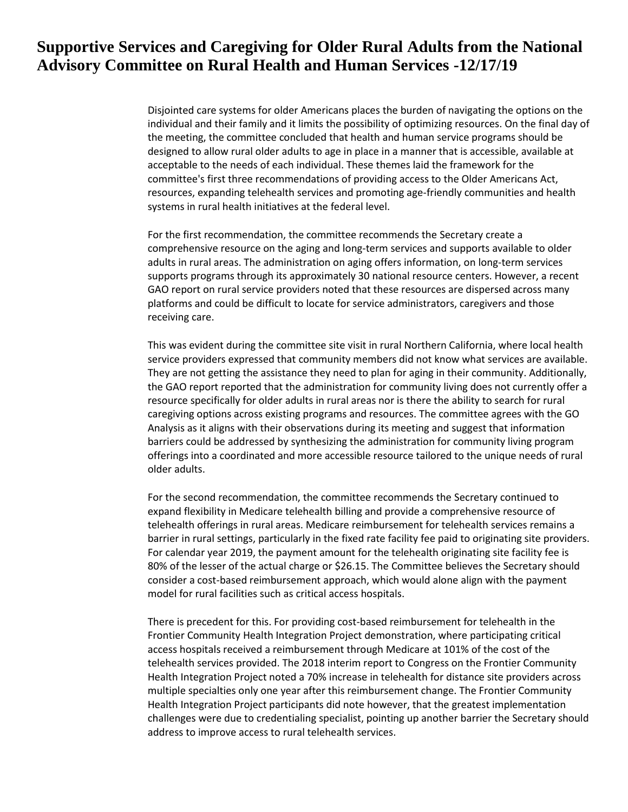Disjointed care systems for older Americans places the burden of navigating the options on the individual and their family and it limits the possibility of optimizing resources. On the final day of the meeting, the committee concluded that health and human service programs should be designed to allow rural older adults to age in place in a manner that is accessible, available at acceptable to the needs of each individual. These themes laid the framework for the committee's first three recommendations of providing access to the Older Americans Act, resources, expanding telehealth services and promoting age-friendly communities and health systems in rural health initiatives at the federal level.

For the first recommendation, the committee recommends the Secretary create a comprehensive resource on the aging and long-term services and supports available to older adults in rural areas. The administration on aging offers information, on long-term services supports programs through its approximately 30 national resource centers. However, a recent GAO report on rural service providers noted that these resources are dispersed across many platforms and could be difficult to locate for service administrators, caregivers and those receiving care.

This was evident during the committee site visit in rural Northern California, where local health service providers expressed that community members did not know what services are available. They are not getting the assistance they need to plan for aging in their community. Additionally, the GAO report reported that the administration for community living does not currently offer a resource specifically for older adults in rural areas nor is there the ability to search for rural caregiving options across existing programs and resources. The committee agrees with the GO Analysis as it aligns with their observations during its meeting and suggest that information barriers could be addressed by synthesizing the administration for community living program offerings into a coordinated and more accessible resource tailored to the unique needs of rural older adults.

For the second recommendation, the committee recommends the Secretary continued to expand flexibility in Medicare telehealth billing and provide a comprehensive resource of telehealth offerings in rural areas. Medicare reimbursement for telehealth services remains a barrier in rural settings, particularly in the fixed rate facility fee paid to originating site providers. For calendar year 2019, the payment amount for the telehealth originating site facility fee is 80% of the lesser of the actual charge or \$26.15. The Committee believes the Secretary should consider a cost-based reimbursement approach, which would alone align with the payment model for rural facilities such as critical access hospitals.

There is precedent for this. For providing cost-based reimbursement for telehealth in the Frontier Community Health Integration Project demonstration, where participating critical access hospitals received a reimbursement through Medicare at 101% of the cost of the telehealth services provided. The 2018 interim report to Congress on the Frontier Community Health Integration Project noted a 70% increase in telehealth for distance site providers across multiple specialties only one year after this reimbursement change. The Frontier Community Health Integration Project participants did note however, that the greatest implementation challenges were due to credentialing specialist, pointing up another barrier the Secretary should address to improve access to rural telehealth services.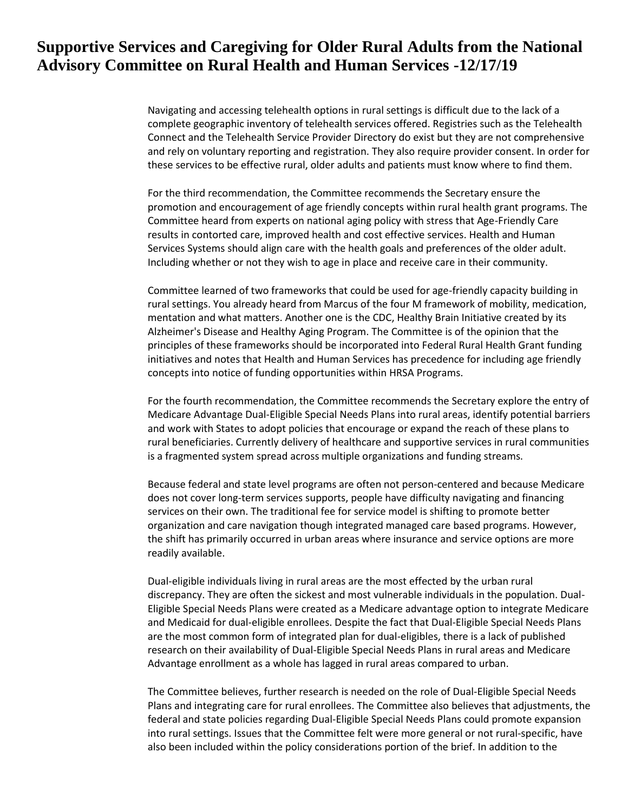Navigating and accessing telehealth options in rural settings is difficult due to the lack of a complete geographic inventory of telehealth services offered. Registries such as the Telehealth Connect and the Telehealth Service Provider Directory do exist but they are not comprehensive and rely on voluntary reporting and registration. They also require provider consent. In order for these services to be effective rural, older adults and patients must know where to find them.

For the third recommendation, the Committee recommends the Secretary ensure the promotion and encouragement of age friendly concepts within rural health grant programs. The Committee heard from experts on national aging policy with stress that Age-Friendly Care results in contorted care, improved health and cost effective services. Health and Human Services Systems should align care with the health goals and preferences of the older adult. Including whether or not they wish to age in place and receive care in their community.

Committee learned of two frameworks that could be used for age-friendly capacity building in rural settings. You already heard from Marcus of the four M framework of mobility, medication, mentation and what matters. Another one is the CDC, Healthy Brain Initiative created by its Alzheimer's Disease and Healthy Aging Program. The Committee is of the opinion that the principles of these frameworks should be incorporated into Federal Rural Health Grant funding initiatives and notes that Health and Human Services has precedence for including age friendly concepts into notice of funding opportunities within HRSA Programs.

For the fourth recommendation, the Committee recommends the Secretary explore the entry of Medicare Advantage Dual-Eligible Special Needs Plans into rural areas, identify potential barriers and work with States to adopt policies that encourage or expand the reach of these plans to rural beneficiaries. Currently delivery of healthcare and supportive services in rural communities is a fragmented system spread across multiple organizations and funding streams.

Because federal and state level programs are often not person-centered and because Medicare does not cover long-term services supports, people have difficulty navigating and financing services on their own. The traditional fee for service model is shifting to promote better organization and care navigation though integrated managed care based programs. However, the shift has primarily occurred in urban areas where insurance and service options are more readily available.

Dual-eligible individuals living in rural areas are the most effected by the urban rural discrepancy. They are often the sickest and most vulnerable individuals in the population. Dual-Eligible Special Needs Plans were created as a Medicare advantage option to integrate Medicare and Medicaid for dual-eligible enrollees. Despite the fact that Dual-Eligible Special Needs Plans are the most common form of integrated plan for dual-eligibles, there is a lack of published research on their availability of Dual-Eligible Special Needs Plans in rural areas and Medicare Advantage enrollment as a whole has lagged in rural areas compared to urban.

The Committee believes, further research is needed on the role of Dual-Eligible Special Needs Plans and integrating care for rural enrollees. The Committee also believes that adjustments, the federal and state policies regarding Dual-Eligible Special Needs Plans could promote expansion into rural settings. Issues that the Committee felt were more general or not rural-specific, have also been included within the policy considerations portion of the brief. In addition to the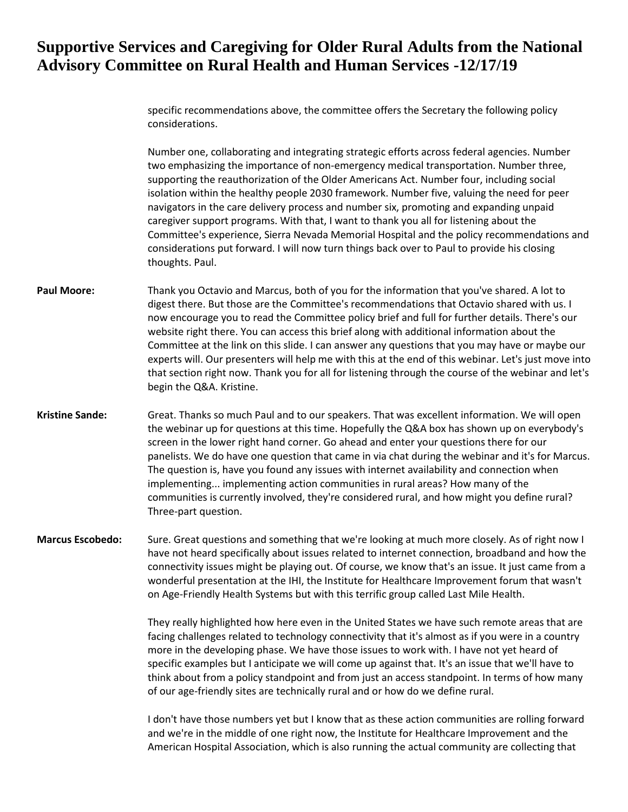specific recommendations above, the committee offers the Secretary the following policy considerations.

Number one, collaborating and integrating strategic efforts across federal agencies. Number two emphasizing the importance of non-emergency medical transportation. Number three, supporting the reauthorization of the Older Americans Act. Number four, including social isolation within the healthy people 2030 framework. Number five, valuing the need for peer navigators in the care delivery process and number six, promoting and expanding unpaid caregiver support programs. With that, I want to thank you all for listening about the Committee's experience, Sierra Nevada Memorial Hospital and the policy recommendations and considerations put forward. I will now turn things back over to Paul to provide his closing thoughts. Paul.

- **Paul Moore:** Thank you Octavio and Marcus, both of you for the information that you've shared. A lot to digest there. But those are the Committee's recommendations that Octavio shared with us. I now encourage you to read the Committee policy brief and full for further details. There's our website right there. You can access this brief along with additional information about the Committee at the link on this slide. I can answer any questions that you may have or maybe our experts will. Our presenters will help me with this at the end of this webinar. Let's just move into that section right now. Thank you for all for listening through the course of the webinar and let's begin the Q&A. Kristine.
- **Kristine Sande:** Great. Thanks so much Paul and to our speakers. That was excellent information. We will open the webinar up for questions at this time. Hopefully the Q&A box has shown up on everybody's screen in the lower right hand corner. Go ahead and enter your questions there for our panelists. We do have one question that came in via chat during the webinar and it's for Marcus. The question is, have you found any issues with internet availability and connection when implementing... implementing action communities in rural areas? How many of the communities is currently involved, they're considered rural, and how might you define rural? Three-part question.
- **Marcus Escobedo:** Sure. Great questions and something that we're looking at much more closely. As of right now I have not heard specifically about issues related to internet connection, broadband and how the connectivity issues might be playing out. Of course, we know that's an issue. It just came from a wonderful presentation at the IHI, the Institute for Healthcare Improvement forum that wasn't on Age-Friendly Health Systems but with this terrific group called Last Mile Health.

They really highlighted how here even in the United States we have such remote areas that are facing challenges related to technology connectivity that it's almost as if you were in a country more in the developing phase. We have those issues to work with. I have not yet heard of specific examples but I anticipate we will come up against that. It's an issue that we'll have to think about from a policy standpoint and from just an access standpoint. In terms of how many of our age-friendly sites are technically rural and or how do we define rural.

I don't have those numbers yet but I know that as these action communities are rolling forward and we're in the middle of one right now, the Institute for Healthcare Improvement and the American Hospital Association, which is also running the actual community are collecting that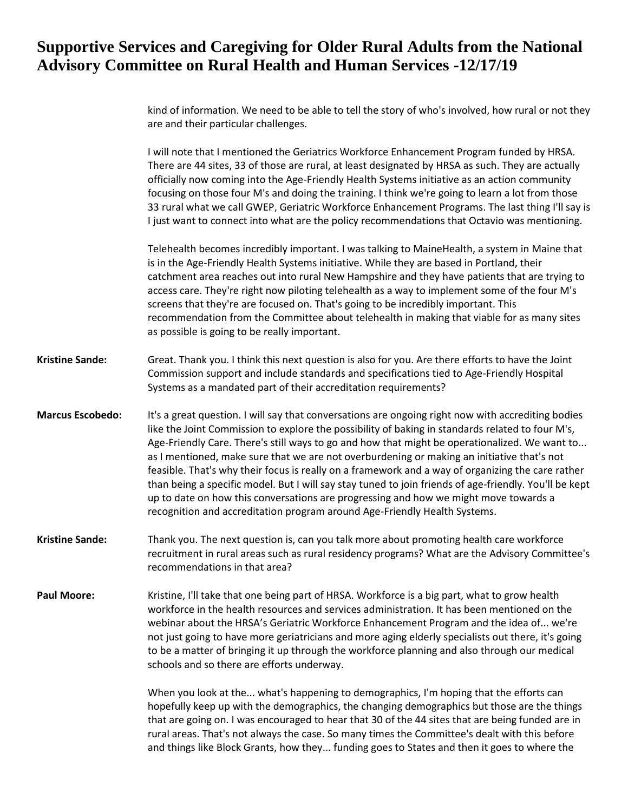kind of information. We need to be able to tell the story of who's involved, how rural or not they are and their particular challenges.

I will note that I mentioned the Geriatrics Workforce Enhancement Program funded by HRSA. There are 44 sites, 33 of those are rural, at least designated by HRSA as such. They are actually officially now coming into the Age-Friendly Health Systems initiative as an action community focusing on those four M's and doing the training. I think we're going to learn a lot from those 33 rural what we call GWEP, Geriatric Workforce Enhancement Programs. The last thing I'll say is I just want to connect into what are the policy recommendations that Octavio was mentioning.

Telehealth becomes incredibly important. I was talking to MaineHealth, a system in Maine that is in the Age-Friendly Health Systems initiative. While they are based in Portland, their catchment area reaches out into rural New Hampshire and they have patients that are trying to access care. They're right now piloting telehealth as a way to implement some of the four M's screens that they're are focused on. That's going to be incredibly important. This recommendation from the Committee about telehealth in making that viable for as many sites as possible is going to be really important.

- **Kristine Sande:** Great. Thank you. I think this next question is also for you. Are there efforts to have the Joint Commission support and include standards and specifications tied to Age-Friendly Hospital Systems as a mandated part of their accreditation requirements?
- **Marcus Escobedo:** It's a great question. I will say that conversations are ongoing right now with accrediting bodies like the Joint Commission to explore the possibility of baking in standards related to four M's, Age-Friendly Care. There's still ways to go and how that might be operationalized. We want to... as I mentioned, make sure that we are not overburdening or making an initiative that's not feasible. That's why their focus is really on a framework and a way of organizing the care rather than being a specific model. But I will say stay tuned to join friends of age-friendly. You'll be kept up to date on how this conversations are progressing and how we might move towards a recognition and accreditation program around Age-Friendly Health Systems.
- **Kristine Sande:** Thank you. The next question is, can you talk more about promoting health care workforce recruitment in rural areas such as rural residency programs? What are the Advisory Committee's recommendations in that area?
- **Paul Moore:** Kristine, I'll take that one being part of HRSA. Workforce is a big part, what to grow health workforce in the health resources and services administration. It has been mentioned on the webinar about the HRSA's Geriatric Workforce Enhancement Program and the idea of... we're not just going to have more geriatricians and more aging elderly specialists out there, it's going to be a matter of bringing it up through the workforce planning and also through our medical schools and so there are efforts underway.

When you look at the... what's happening to demographics, I'm hoping that the efforts can hopefully keep up with the demographics, the changing demographics but those are the things that are going on. I was encouraged to hear that 30 of the 44 sites that are being funded are in rural areas. That's not always the case. So many times the Committee's dealt with this before and things like Block Grants, how they... funding goes to States and then it goes to where the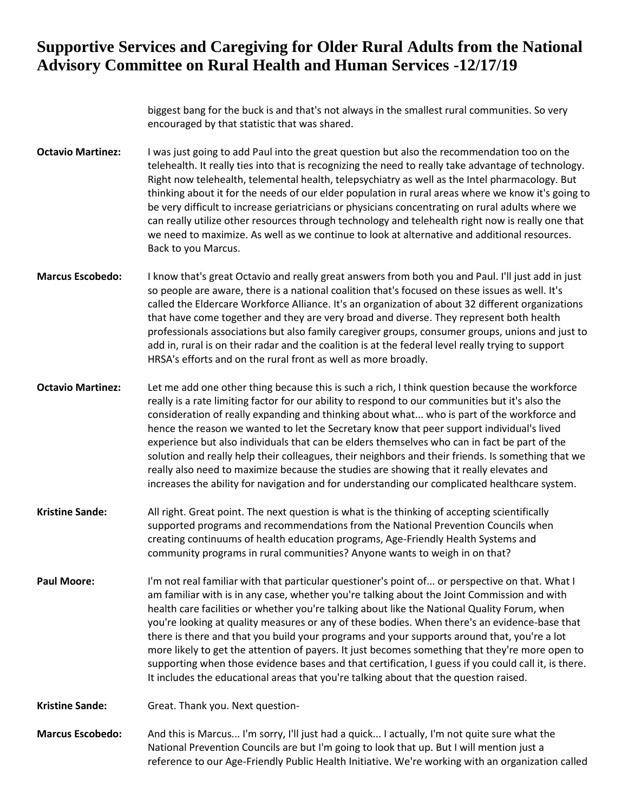biggest bang for the buck is and that's not always in the smallest rural communities. So very encouraged by that statistic that was shared.

- **Octavio Martinez:** I was just going to add Paul into the great question but also the recommendation too on the telehealth. It really ties into that is recognizing the need to really take advantage of technology. Right now telehealth, telemental health, telepsychiatry as well as the Intel pharmacology. But thinking about it for the needs of our elder population in rural areas where we know it's going to be very difficult to increase geriatricians or physicians concentrating on rural adults where we can really utilize other resources through technology and telehealth right now is really one that we need to maximize. As well as we continue to look at alternative and additional resources. Back to you Marcus.
- **Marcus Escobedo:** I know that's great Octavio and really great answers from both you and Paul. I'll just add in just so people are aware, there is a national coalition that's focused on these issues as well. It's called the Eldercare Workforce Alliance. It's an organization of about 32 different organizations that have come together and they are very broad and diverse. They represent both health professionals associations but also family caregiver groups, consumer groups, unions and just to add in, rural is on their radar and the coalition is at the federal level really trying to support HRSA's efforts and on the rural front as well as more broadly.
- **Octavio Martinez:** Let me add one other thing because this is such a rich, I think question because the workforce really is a rate limiting factor for our ability to respond to our communities but it's also the consideration of really expanding and thinking about what... who is part of the workforce and hence the reason we wanted to let the Secretary know that peer support individual's lived experience but also individuals that can be elders themselves who can in fact be part of the solution and really help their colleagues, their neighbors and their friends. Is something that we really also need to maximize because the studies are showing that it really elevates and increases the ability for navigation and for understanding our complicated healthcare system.
- **Kristine Sande:** All right. Great point. The next question is what is the thinking of accepting scientifically supported programs and recommendations from the National Prevention Councils when creating continuums of health education programs, Age-Friendly Health Systems and community programs in rural communities? Anyone wants to weigh in on that?
- **Paul Moore:** I'm not real familiar with that particular questioner's point of... or perspective on that. What I am familiar with is in any case, whether you're talking about the Joint Commission and with health care facilities or whether you're talking about like the National Quality Forum, when you're looking at quality measures or any of these bodies. When there's an evidence-base that there is there and that you build your programs and your supports around that, you're a lot more likely to get the attention of payers. It just becomes something that they're more open to supporting when those evidence bases and that certification, I guess if you could call it, is there. It includes the educational areas that you're talking about that the question raised.

**Kristine Sande:** Great. Thank you. Next question-

**Marcus Escobedo:** And this is Marcus... I'm sorry, I'll just had a quick... I actually, I'm not quite sure what the National Prevention Councils are but I'm going to look that up. But I will mention just a reference to our Age-Friendly Public Health Initiative. We're working with an organization called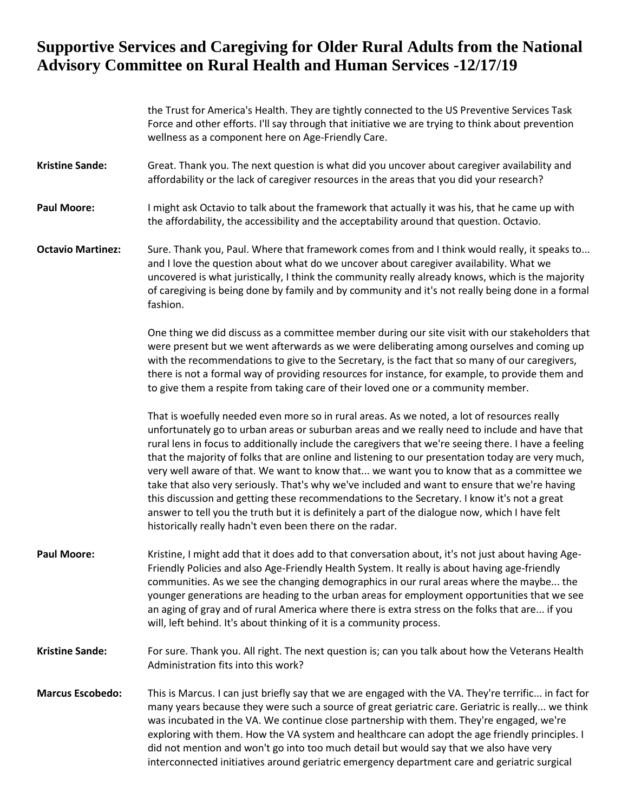the Trust for America's Health. They are tightly connected to the US Preventive Services Task Force and other efforts. I'll say through that initiative we are trying to think about prevention wellness as a component here on Age-Friendly Care.

- **Kristine Sande:** Great. Thank you. The next question is what did you uncover about caregiver availability and affordability or the lack of caregiver resources in the areas that you did your research?
- **Paul Moore:** I might ask Octavio to talk about the framework that actually it was his, that he came up with the affordability, the accessibility and the acceptability around that question. Octavio.
- **Octavio Martinez:** Sure. Thank you, Paul. Where that framework comes from and I think would really, it speaks to... and I love the question about what do we uncover about caregiver availability. What we uncovered is what juristically, I think the community really already knows, which is the majority of caregiving is being done by family and by community and it's not really being done in a formal fashion.

One thing we did discuss as a committee member during our site visit with our stakeholders that were present but we went afterwards as we were deliberating among ourselves and coming up with the recommendations to give to the Secretary, is the fact that so many of our caregivers, there is not a formal way of providing resources for instance, for example, to provide them and to give them a respite from taking care of their loved one or a community member.

That is woefully needed even more so in rural areas. As we noted, a lot of resources really unfortunately go to urban areas or suburban areas and we really need to include and have that rural lens in focus to additionally include the caregivers that we're seeing there. I have a feeling that the majority of folks that are online and listening to our presentation today are very much, very well aware of that. We want to know that... we want you to know that as a committee we take that also very seriously. That's why we've included and want to ensure that we're having this discussion and getting these recommendations to the Secretary. I know it's not a great answer to tell you the truth but it is definitely a part of the dialogue now, which I have felt historically really hadn't even been there on the radar.

- **Paul Moore:** Kristine, I might add that it does add to that conversation about, it's not just about having Age-Friendly Policies and also Age-Friendly Health System. It really is about having age-friendly communities. As we see the changing demographics in our rural areas where the maybe... the younger generations are heading to the urban areas for employment opportunities that we see an aging of gray and of rural America where there is extra stress on the folks that are... if you will, left behind. It's about thinking of it is a community process.
- **Kristine Sande:** For sure. Thank you. All right. The next question is; can you talk about how the Veterans Health Administration fits into this work?
- **Marcus Escobedo:** This is Marcus. I can just briefly say that we are engaged with the VA. They're terrific... in fact for many years because they were such a source of great geriatric care. Geriatric is really... we think was incubated in the VA. We continue close partnership with them. They're engaged, we're exploring with them. How the VA system and healthcare can adopt the age friendly principles. I did not mention and won't go into too much detail but would say that we also have very interconnected initiatives around geriatric emergency department care and geriatric surgical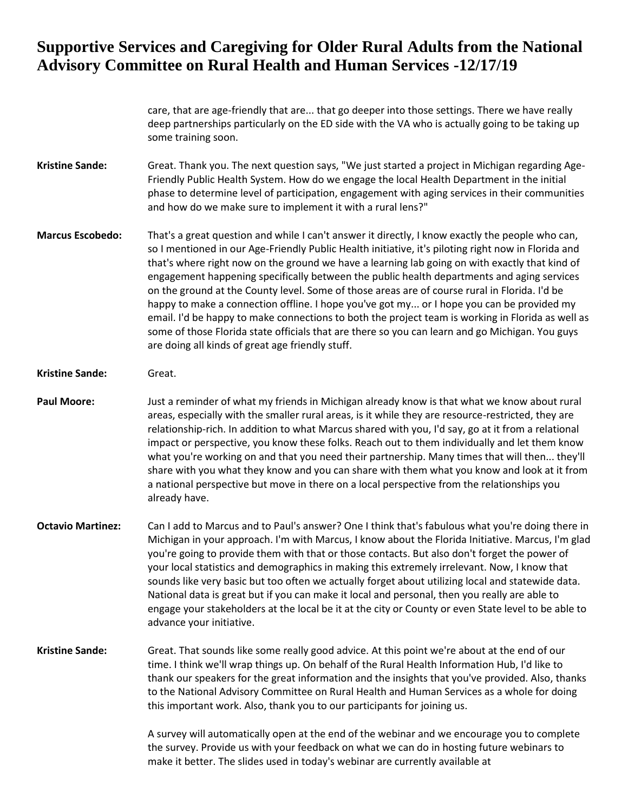care, that are age-friendly that are... that go deeper into those settings. There we have really deep partnerships particularly on the ED side with the VA who is actually going to be taking up some training soon.

- **Kristine Sande:** Great. Thank you. The next question says, "We just started a project in Michigan regarding Age-Friendly Public Health System. How do we engage the local Health Department in the initial phase to determine level of participation, engagement with aging services in their communities and how do we make sure to implement it with a rural lens?"
- **Marcus Escobedo:** That's a great question and while I can't answer it directly, I know exactly the people who can, so I mentioned in our Age-Friendly Public Health initiative, it's piloting right now in Florida and that's where right now on the ground we have a learning lab going on with exactly that kind of engagement happening specifically between the public health departments and aging services on the ground at the County level. Some of those areas are of course rural in Florida. I'd be happy to make a connection offline. I hope you've got my... or I hope you can be provided my email. I'd be happy to make connections to both the project team is working in Florida as well as some of those Florida state officials that are there so you can learn and go Michigan. You guys are doing all kinds of great age friendly stuff.

#### **Kristine Sande:** Great.

- **Paul Moore:** Just a reminder of what my friends in Michigan already know is that what we know about rural areas, especially with the smaller rural areas, is it while they are resource-restricted, they are relationship-rich. In addition to what Marcus shared with you, I'd say, go at it from a relational impact or perspective, you know these folks. Reach out to them individually and let them know what you're working on and that you need their partnership. Many times that will then... they'll share with you what they know and you can share with them what you know and look at it from a national perspective but move in there on a local perspective from the relationships you already have.
- **Octavio Martinez:** Can I add to Marcus and to Paul's answer? One I think that's fabulous what you're doing there in Michigan in your approach. I'm with Marcus, I know about the Florida Initiative. Marcus, I'm glad you're going to provide them with that or those contacts. But also don't forget the power of your local statistics and demographics in making this extremely irrelevant. Now, I know that sounds like very basic but too often we actually forget about utilizing local and statewide data. National data is great but if you can make it local and personal, then you really are able to engage your stakeholders at the local be it at the city or County or even State level to be able to advance your initiative.
- **Kristine Sande:** Great. That sounds like some really good advice. At this point we're about at the end of our time. I think we'll wrap things up. On behalf of the Rural Health Information Hub, I'd like to thank our speakers for the great information and the insights that you've provided. Also, thanks to the National Advisory Committee on Rural Health and Human Services as a whole for doing this important work. Also, thank you to our participants for joining us.

A survey will automatically open at the end of the webinar and we encourage you to complete the survey. Provide us with your feedback on what we can do in hosting future webinars to make it better. The slides used in today's webinar are currently available at